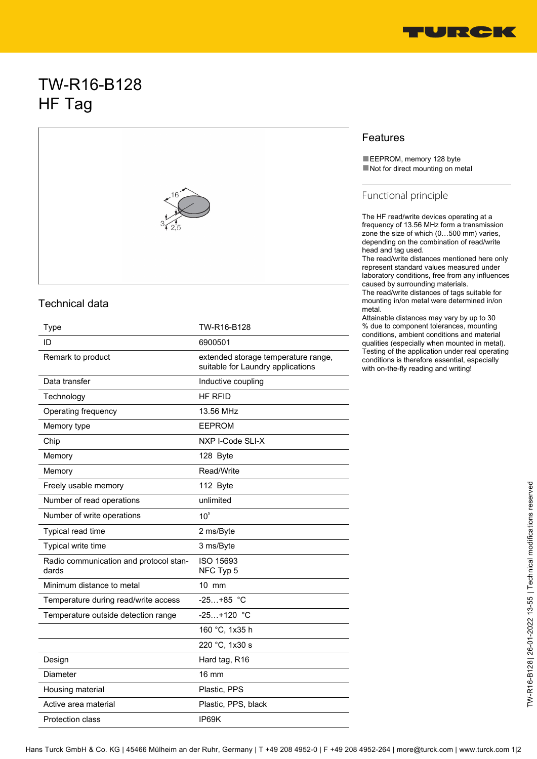

# TW-R16-B128 HF Tag



#### Technical data

| Type                                            | TW-R16-B128                                                              |
|-------------------------------------------------|--------------------------------------------------------------------------|
| ID                                              | 6900501                                                                  |
| Remark to product                               | extended storage temperature range,<br>suitable for Laundry applications |
| Data transfer                                   | Inductive coupling                                                       |
| Technology                                      | HF RFID                                                                  |
| Operating frequency                             | 13.56 MHz                                                                |
| Memory type                                     | <b>EEPROM</b>                                                            |
| Chip                                            | NXP I-Code SLI-X                                                         |
| Memory                                          | 128 Byte                                                                 |
| Memory                                          | Read/Write                                                               |
| Freely usable memory                            | 112 Byte                                                                 |
| Number of read operations                       | unlimited                                                                |
| Number of write operations                      | 10 <sup>5</sup>                                                          |
| Typical read time                               | 2 ms/Byte                                                                |
| Typical write time                              | 3 ms/Byte                                                                |
| Radio communication and protocol stan-<br>dards | ISO 15693<br>NFC Typ 5                                                   |
| Minimum distance to metal                       | 10 mm                                                                    |
| Temperature during read/write access            | $-25+85$ °C                                                              |
| Temperature outside detection range             | $-25+120$ °C                                                             |
|                                                 | 160 °C, 1x35 h                                                           |
|                                                 | 220 °C, 1x30 s                                                           |
| Design                                          | Hard tag, R16                                                            |
| Diameter                                        | $16 \text{ mm}$                                                          |
| Housing material                                | Plastic, PPS                                                             |
| Active area material                            | Plastic, PPS, black                                                      |
| Protection class                                | IP69K                                                                    |

### Features

■EEPROM, memory 128 byte ■ Not for direct mounting on metal

#### Functional principle

The HF read/write devices operating at a frequency of 13.56 MHz form a transmission zone the size of which (0…500 mm) varies, depending on the combination of read/write head and tag used.

The read/write distances mentioned here only represent standard values measured under laboratory conditions, free from any influences caused by surrounding materials.

The read/write distances of tags suitable for mounting in/on metal were determined in/on metal.

Attainable distances may vary by up to 30 % due to component tolerances, mounting conditions, ambient conditions and material qualities (especially when mounted in metal). Testing of the application under real operating conditions is therefore essential, especially with on-the-fly reading and writing!